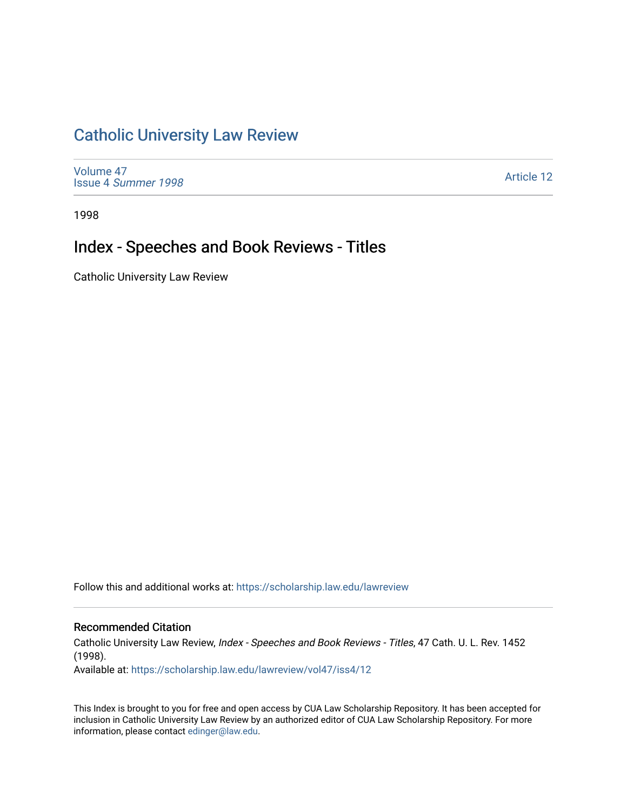# [Catholic University Law Review](https://scholarship.law.edu/lawreview)

[Volume 47](https://scholarship.law.edu/lawreview/vol47) Issue 4 [Summer 1998](https://scholarship.law.edu/lawreview/vol47/iss4) 

[Article 12](https://scholarship.law.edu/lawreview/vol47/iss4/12) 

1998

# Index - Speeches and Book Reviews - Titles

Catholic University Law Review

Follow this and additional works at: [https://scholarship.law.edu/lawreview](https://scholarship.law.edu/lawreview?utm_source=scholarship.law.edu%2Flawreview%2Fvol47%2Fiss4%2F12&utm_medium=PDF&utm_campaign=PDFCoverPages)

### Recommended Citation

Catholic University Law Review, Index - Speeches and Book Reviews - Titles, 47 Cath. U. L. Rev. 1452 (1998).

Available at: [https://scholarship.law.edu/lawreview/vol47/iss4/12](https://scholarship.law.edu/lawreview/vol47/iss4/12?utm_source=scholarship.law.edu%2Flawreview%2Fvol47%2Fiss4%2F12&utm_medium=PDF&utm_campaign=PDFCoverPages) 

This Index is brought to you for free and open access by CUA Law Scholarship Repository. It has been accepted for inclusion in Catholic University Law Review by an authorized editor of CUA Law Scholarship Repository. For more information, please contact [edinger@law.edu.](mailto:edinger@law.edu)